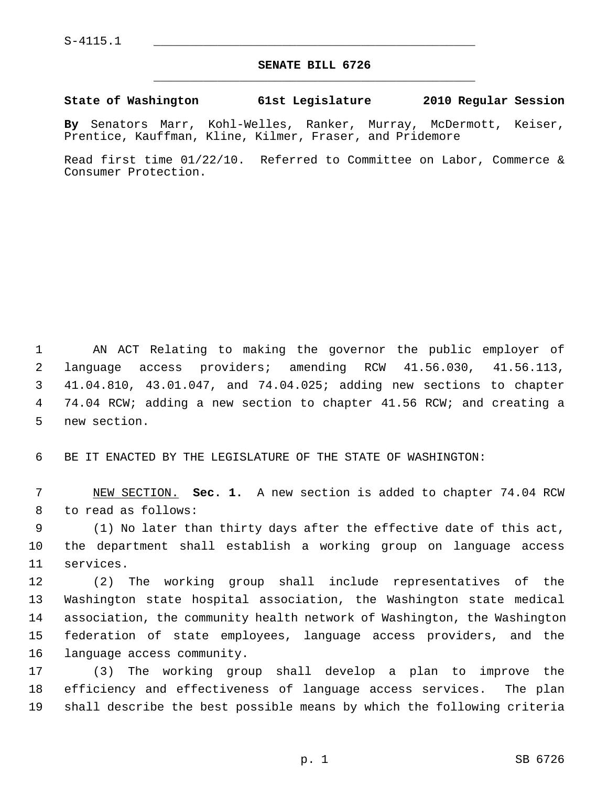## **SENATE BILL 6726** \_\_\_\_\_\_\_\_\_\_\_\_\_\_\_\_\_\_\_\_\_\_\_\_\_\_\_\_\_\_\_\_\_\_\_\_\_\_\_\_\_\_\_\_\_

## **State of Washington 61st Legislature 2010 Regular Session**

**By** Senators Marr, Kohl-Welles, Ranker, Murray, McDermott, Keiser, Prentice, Kauffman, Kline, Kilmer, Fraser, and Pridemore

Read first time 01/22/10. Referred to Committee on Labor, Commerce & Consumer Protection.

 1 AN ACT Relating to making the governor the public employer of 2 language access providers; amending RCW 41.56.030, 41.56.113, 3 41.04.810, 43.01.047, and 74.04.025; adding new sections to chapter 4 74.04 RCW; adding a new section to chapter 41.56 RCW; and creating a 5 new section.

6 BE IT ENACTED BY THE LEGISLATURE OF THE STATE OF WASHINGTON:

 7 NEW SECTION. **Sec. 1.** A new section is added to chapter 74.04 RCW 8 to read as follows:

 9 (1) No later than thirty days after the effective date of this act, 10 the department shall establish a working group on language access 11 services.

12 (2) The working group shall include representatives of the 13 Washington state hospital association, the Washington state medical 14 association, the community health network of Washington, the Washington 15 federation of state employees, language access providers, and the 16 language access community.

17 (3) The working group shall develop a plan to improve the 18 efficiency and effectiveness of language access services. The plan 19 shall describe the best possible means by which the following criteria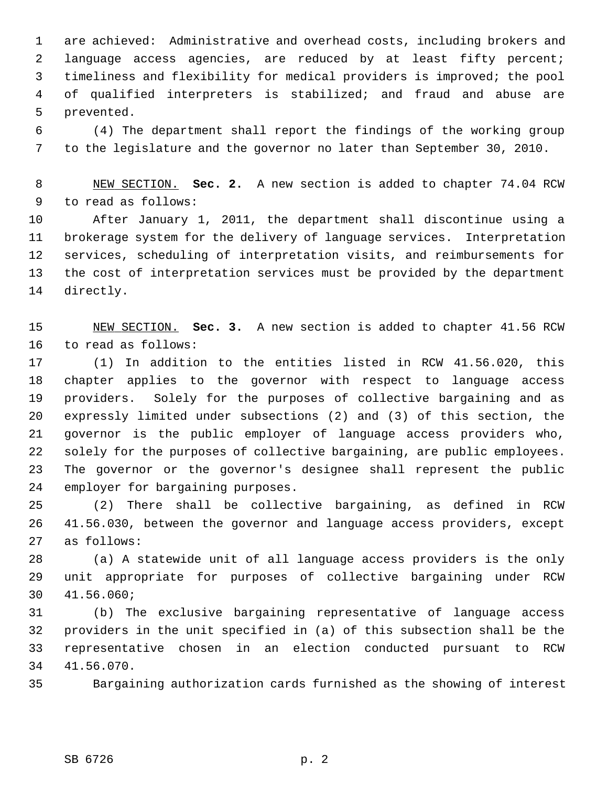1 are achieved: Administrative and overhead costs, including brokers and 2 language access agencies, are reduced by at least fifty percent; 3 timeliness and flexibility for medical providers is improved; the pool 4 of qualified interpreters is stabilized; and fraud and abuse are 5 prevented.

 6 (4) The department shall report the findings of the working group 7 to the legislature and the governor no later than September 30, 2010.

 8 NEW SECTION. **Sec. 2.** A new section is added to chapter 74.04 RCW 9 to read as follows:

10 After January 1, 2011, the department shall discontinue using a 11 brokerage system for the delivery of language services. Interpretation 12 services, scheduling of interpretation visits, and reimbursements for 13 the cost of interpretation services must be provided by the department 14 directly.

15 NEW SECTION. **Sec. 3.** A new section is added to chapter 41.56 RCW 16 to read as follows:

17 (1) In addition to the entities listed in RCW 41.56.020, this 18 chapter applies to the governor with respect to language access 19 providers. Solely for the purposes of collective bargaining and as 20 expressly limited under subsections (2) and (3) of this section, the 21 governor is the public employer of language access providers who, 22 solely for the purposes of collective bargaining, are public employees. 23 The governor or the governor's designee shall represent the public 24 employer for bargaining purposes.

25 (2) There shall be collective bargaining, as defined in RCW 26 41.56.030, between the governor and language access providers, except 27 as follows:

28 (a) A statewide unit of all language access providers is the only 29 unit appropriate for purposes of collective bargaining under RCW 30 41.56.060;

31 (b) The exclusive bargaining representative of language access 32 providers in the unit specified in (a) of this subsection shall be the 33 representative chosen in an election conducted pursuant to RCW 34 41.56.070.

35 Bargaining authorization cards furnished as the showing of interest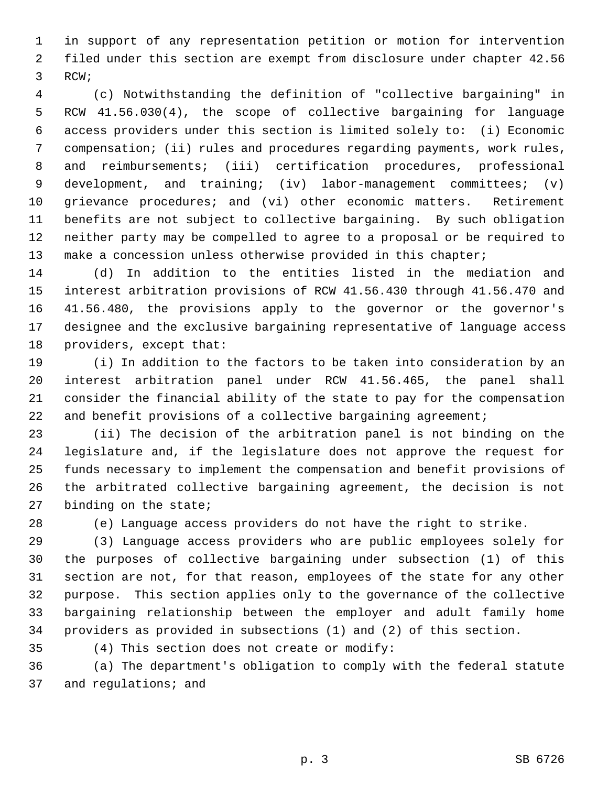1 in support of any representation petition or motion for intervention 2 filed under this section are exempt from disclosure under chapter 42.56 3 RCW;

 4 (c) Notwithstanding the definition of "collective bargaining" in 5 RCW 41.56.030(4), the scope of collective bargaining for language 6 access providers under this section is limited solely to: (i) Economic 7 compensation; (ii) rules and procedures regarding payments, work rules, 8 and reimbursements; (iii) certification procedures, professional 9 development, and training; (iv) labor-management committees; (v) 10 grievance procedures; and (vi) other economic matters. Retirement 11 benefits are not subject to collective bargaining. By such obligation 12 neither party may be compelled to agree to a proposal or be required to 13 make a concession unless otherwise provided in this chapter;

14 (d) In addition to the entities listed in the mediation and 15 interest arbitration provisions of RCW 41.56.430 through 41.56.470 and 16 41.56.480, the provisions apply to the governor or the governor's 17 designee and the exclusive bargaining representative of language access 18 providers, except that:

19 (i) In addition to the factors to be taken into consideration by an 20 interest arbitration panel under RCW 41.56.465, the panel shall 21 consider the financial ability of the state to pay for the compensation 22 and benefit provisions of a collective bargaining agreement;

23 (ii) The decision of the arbitration panel is not binding on the 24 legislature and, if the legislature does not approve the request for 25 funds necessary to implement the compensation and benefit provisions of 26 the arbitrated collective bargaining agreement, the decision is not 27 binding on the state;

28 (e) Language access providers do not have the right to strike.

29 (3) Language access providers who are public employees solely for 30 the purposes of collective bargaining under subsection (1) of this 31 section are not, for that reason, employees of the state for any other 32 purpose. This section applies only to the governance of the collective 33 bargaining relationship between the employer and adult family home 34 providers as provided in subsections (1) and (2) of this section.

35 (4) This section does not create or modify:

36 (a) The department's obligation to comply with the federal statute 37 and regulations; and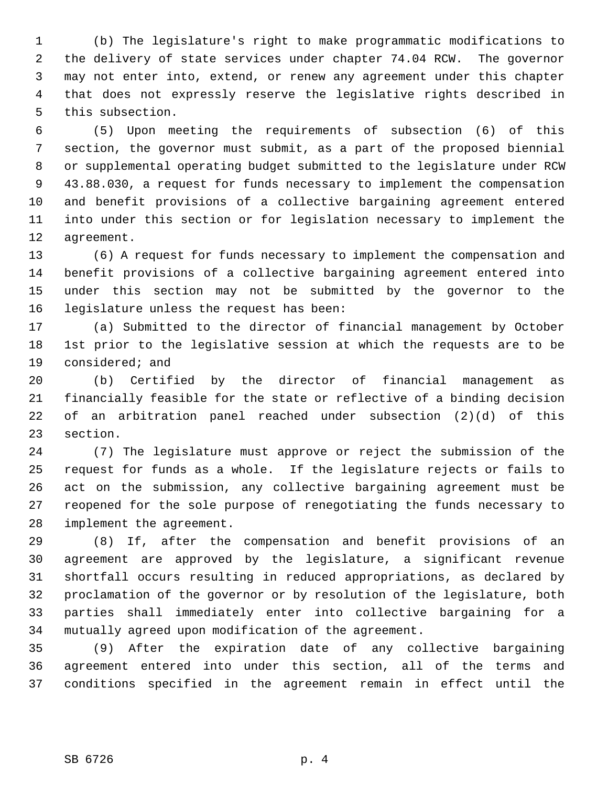1 (b) The legislature's right to make programmatic modifications to 2 the delivery of state services under chapter 74.04 RCW. The governor 3 may not enter into, extend, or renew any agreement under this chapter 4 that does not expressly reserve the legislative rights described in 5 this subsection.

 6 (5) Upon meeting the requirements of subsection (6) of this 7 section, the governor must submit, as a part of the proposed biennial 8 or supplemental operating budget submitted to the legislature under RCW 9 43.88.030, a request for funds necessary to implement the compensation 10 and benefit provisions of a collective bargaining agreement entered 11 into under this section or for legislation necessary to implement the 12 agreement.

13 (6) A request for funds necessary to implement the compensation and 14 benefit provisions of a collective bargaining agreement entered into 15 under this section may not be submitted by the governor to the 16 legislature unless the request has been:

17 (a) Submitted to the director of financial management by October 18 1st prior to the legislative session at which the requests are to be 19 considered; and

20 (b) Certified by the director of financial management as 21 financially feasible for the state or reflective of a binding decision 22 of an arbitration panel reached under subsection (2)(d) of this 23 section.

24 (7) The legislature must approve or reject the submission of the 25 request for funds as a whole. If the legislature rejects or fails to 26 act on the submission, any collective bargaining agreement must be 27 reopened for the sole purpose of renegotiating the funds necessary to 28 implement the agreement.

29 (8) If, after the compensation and benefit provisions of an 30 agreement are approved by the legislature, a significant revenue 31 shortfall occurs resulting in reduced appropriations, as declared by 32 proclamation of the governor or by resolution of the legislature, both 33 parties shall immediately enter into collective bargaining for a 34 mutually agreed upon modification of the agreement.

35 (9) After the expiration date of any collective bargaining 36 agreement entered into under this section, all of the terms and 37 conditions specified in the agreement remain in effect until the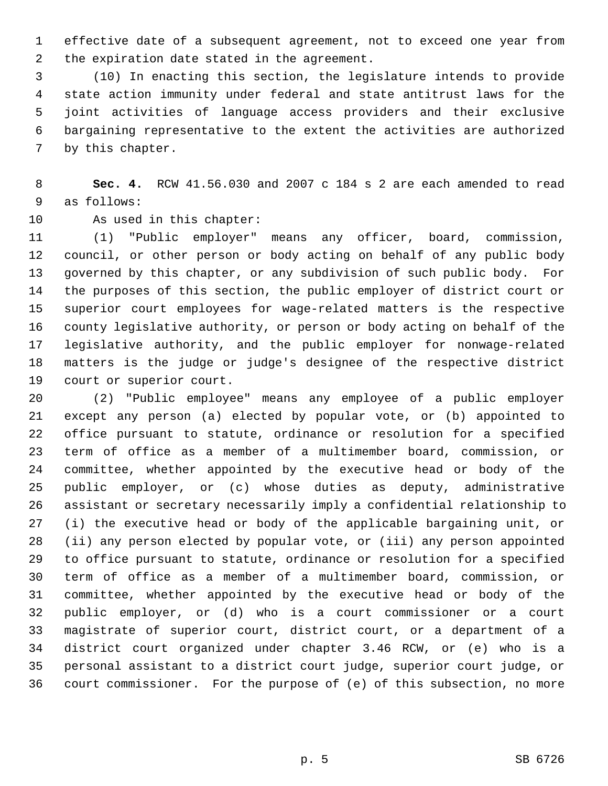1 effective date of a subsequent agreement, not to exceed one year from 2 the expiration date stated in the agreement.

 3 (10) In enacting this section, the legislature intends to provide 4 state action immunity under federal and state antitrust laws for the 5 joint activities of language access providers and their exclusive 6 bargaining representative to the extent the activities are authorized 7 by this chapter.

 8 **Sec. 4.** RCW 41.56.030 and 2007 c 184 s 2 are each amended to read 9 as follows:

10 As used in this chapter:

11 (1) "Public employer" means any officer, board, commission, 12 council, or other person or body acting on behalf of any public body 13 governed by this chapter, or any subdivision of such public body. For 14 the purposes of this section, the public employer of district court or 15 superior court employees for wage-related matters is the respective 16 county legislative authority, or person or body acting on behalf of the 17 legislative authority, and the public employer for nonwage-related 18 matters is the judge or judge's designee of the respective district 19 court or superior court.

20 (2) "Public employee" means any employee of a public employer 21 except any person (a) elected by popular vote, or (b) appointed to 22 office pursuant to statute, ordinance or resolution for a specified 23 term of office as a member of a multimember board, commission, or 24 committee, whether appointed by the executive head or body of the 25 public employer, or (c) whose duties as deputy, administrative 26 assistant or secretary necessarily imply a confidential relationship to 27 (i) the executive head or body of the applicable bargaining unit, or 28 (ii) any person elected by popular vote, or (iii) any person appointed 29 to office pursuant to statute, ordinance or resolution for a specified 30 term of office as a member of a multimember board, commission, or 31 committee, whether appointed by the executive head or body of the 32 public employer, or (d) who is a court commissioner or a court 33 magistrate of superior court, district court, or a department of a 34 district court organized under chapter 3.46 RCW, or (e) who is a 35 personal assistant to a district court judge, superior court judge, or 36 court commissioner. For the purpose of (e) of this subsection, no more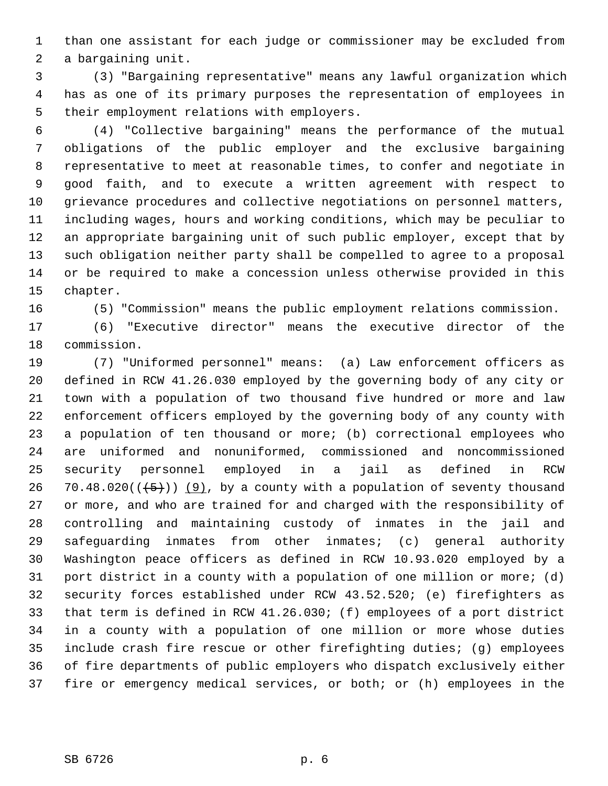1 than one assistant for each judge or commissioner may be excluded from 2 a bargaining unit.

 3 (3) "Bargaining representative" means any lawful organization which 4 has as one of its primary purposes the representation of employees in 5 their employment relations with employers.

 6 (4) "Collective bargaining" means the performance of the mutual 7 obligations of the public employer and the exclusive bargaining 8 representative to meet at reasonable times, to confer and negotiate in 9 good faith, and to execute a written agreement with respect to 10 grievance procedures and collective negotiations on personnel matters, 11 including wages, hours and working conditions, which may be peculiar to 12 an appropriate bargaining unit of such public employer, except that by 13 such obligation neither party shall be compelled to agree to a proposal 14 or be required to make a concession unless otherwise provided in this 15 chapter.

16 (5) "Commission" means the public employment relations commission.

17 (6) "Executive director" means the executive director of the 18 commission.

19 (7) "Uniformed personnel" means: (a) Law enforcement officers as 20 defined in RCW 41.26.030 employed by the governing body of any city or 21 town with a population of two thousand five hundred or more and law 22 enforcement officers employed by the governing body of any county with 23 a population of ten thousand or more; (b) correctional employees who 24 are uniformed and nonuniformed, commissioned and noncommissioned 25 security personnel employed in a jail as defined in RCW 26 70.48.020( $(\frac{5}{2})$ ) (9), by a county with a population of seventy thousand 27 or more, and who are trained for and charged with the responsibility of 28 controlling and maintaining custody of inmates in the jail and 29 safeguarding inmates from other inmates; (c) general authority 30 Washington peace officers as defined in RCW 10.93.020 employed by a 31 port district in a county with a population of one million or more; (d) 32 security forces established under RCW 43.52.520; (e) firefighters as 33 that term is defined in RCW 41.26.030; (f) employees of a port district 34 in a county with a population of one million or more whose duties 35 include crash fire rescue or other firefighting duties; (g) employees 36 of fire departments of public employers who dispatch exclusively either 37 fire or emergency medical services, or both; or (h) employees in the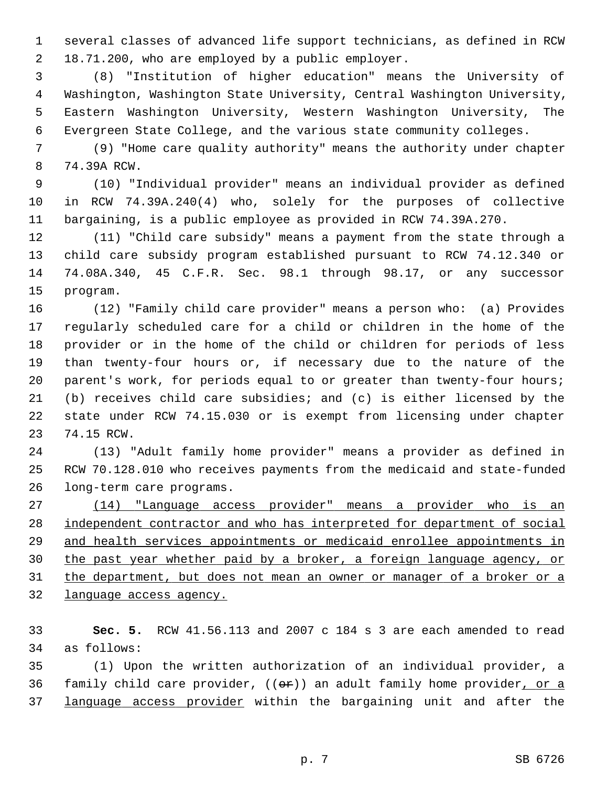1 several classes of advanced life support technicians, as defined in RCW 2 18.71.200, who are employed by a public employer.

 3 (8) "Institution of higher education" means the University of 4 Washington, Washington State University, Central Washington University, 5 Eastern Washington University, Western Washington University, The 6 Evergreen State College, and the various state community colleges.

 7 (9) "Home care quality authority" means the authority under chapter 8 74.39A RCW.

 9 (10) "Individual provider" means an individual provider as defined 10 in RCW 74.39A.240(4) who, solely for the purposes of collective 11 bargaining, is a public employee as provided in RCW 74.39A.270.

12 (11) "Child care subsidy" means a payment from the state through a 13 child care subsidy program established pursuant to RCW 74.12.340 or 14 74.08A.340, 45 C.F.R. Sec. 98.1 through 98.17, or any successor 15 program.

16 (12) "Family child care provider" means a person who: (a) Provides 17 regularly scheduled care for a child or children in the home of the 18 provider or in the home of the child or children for periods of less 19 than twenty-four hours or, if necessary due to the nature of the 20 parent's work, for periods equal to or greater than twenty-four hours; 21 (b) receives child care subsidies; and (c) is either licensed by the 22 state under RCW 74.15.030 or is exempt from licensing under chapter 23 74.15 RCW.

24 (13) "Adult family home provider" means a provider as defined in 25 RCW 70.128.010 who receives payments from the medicaid and state-funded 26 long-term care programs.

 (14) "Language access provider" means a provider who is an independent contractor and who has interpreted for department of social and health services appointments or medicaid enrollee appointments in the past year whether paid by a broker, a foreign language agency, or the department, but does not mean an owner or manager of a broker or a language access agency.

33 **Sec. 5.** RCW 41.56.113 and 2007 c 184 s 3 are each amended to read 34 as follows:

35 (1) Upon the written authorization of an individual provider, a 36 family child care provider,  $((\Theta \rightarrow \bullet))$  an adult family home provider, or a 37 language access provider within the bargaining unit and after the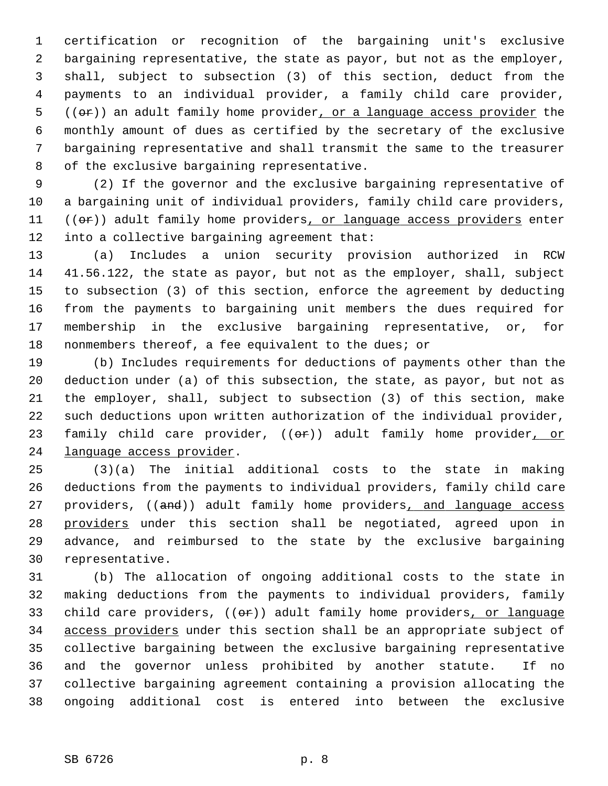1 certification or recognition of the bargaining unit's exclusive 2 bargaining representative, the state as payor, but not as the employer, 3 shall, subject to subsection (3) of this section, deduct from the 4 payments to an individual provider, a family child care provider,  $5$  (( $\Theta$ r)) an adult family home provider, or a language access provider the 6 monthly amount of dues as certified by the secretary of the exclusive 7 bargaining representative and shall transmit the same to the treasurer 8 of the exclusive bargaining representative.

 9 (2) If the governor and the exclusive bargaining representative of 10 a bargaining unit of individual providers, family child care providers, 11 ((or)) adult family home providers, or language access providers enter 12 into a collective bargaining agreement that:

13 (a) Includes a union security provision authorized in RCW 14 41.56.122, the state as payor, but not as the employer, shall, subject 15 to subsection (3) of this section, enforce the agreement by deducting 16 from the payments to bargaining unit members the dues required for 17 membership in the exclusive bargaining representative, or, for 18 nonmembers thereof, a fee equivalent to the dues; or

19 (b) Includes requirements for deductions of payments other than the 20 deduction under (a) of this subsection, the state, as payor, but not as 21 the employer, shall, subject to subsection (3) of this section, make 22 such deductions upon written authorization of the individual provider, 23 family child care provider, ((or)) adult family home provider, or 24 language access provider.

25 (3)(a) The initial additional costs to the state in making 26 deductions from the payments to individual providers, family child care 27 providers, ((and)) adult family home providers, and language access 28 providers under this section shall be negotiated, agreed upon in 29 advance, and reimbursed to the state by the exclusive bargaining 30 representative.

31 (b) The allocation of ongoing additional costs to the state in 32 making deductions from the payments to individual providers, family 33 child care providers,  $((\theta \cdot \hat{r}))$  adult family home providers, or language 34 access providers under this section shall be an appropriate subject of 35 collective bargaining between the exclusive bargaining representative 36 and the governor unless prohibited by another statute. If no 37 collective bargaining agreement containing a provision allocating the 38 ongoing additional cost is entered into between the exclusive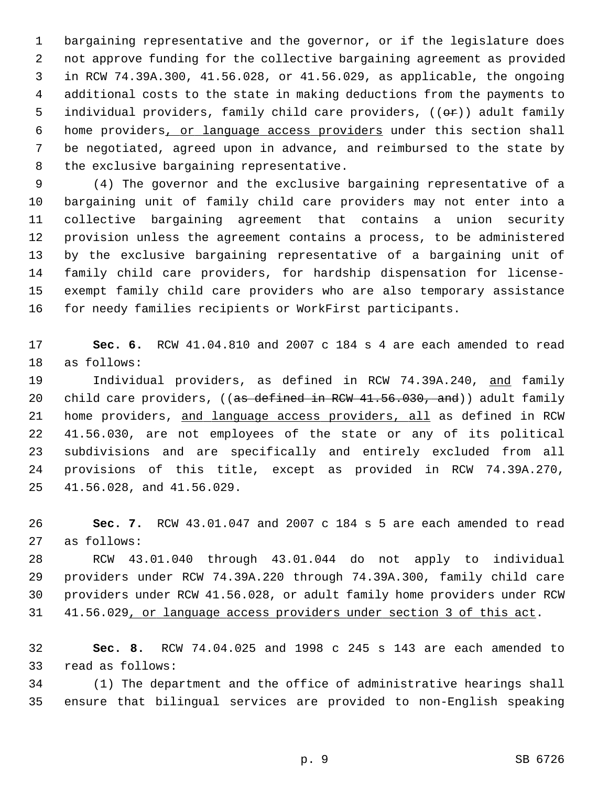1 bargaining representative and the governor, or if the legislature does 2 not approve funding for the collective bargaining agreement as provided 3 in RCW 74.39A.300, 41.56.028, or 41.56.029, as applicable, the ongoing 4 additional costs to the state in making deductions from the payments to 5 individual providers, family child care providers,  $((\theta \cdot \hat{r}))$  adult family 6 home providers, or language access providers under this section shall 7 be negotiated, agreed upon in advance, and reimbursed to the state by 8 the exclusive bargaining representative.

 9 (4) The governor and the exclusive bargaining representative of a 10 bargaining unit of family child care providers may not enter into a 11 collective bargaining agreement that contains a union security 12 provision unless the agreement contains a process, to be administered 13 by the exclusive bargaining representative of a bargaining unit of 14 family child care providers, for hardship dispensation for license-15 exempt family child care providers who are also temporary assistance 16 for needy families recipients or WorkFirst participants.

17 **Sec. 6.** RCW 41.04.810 and 2007 c 184 s 4 are each amended to read 18 as follows:

19 Individual providers, as defined in RCW 74.39A.240, and family 20 child care providers, ((as defined in RCW 41.56.030, and)) adult family 21 home providers, and language access providers, all as defined in RCW 22 41.56.030, are not employees of the state or any of its political 23 subdivisions and are specifically and entirely excluded from all 24 provisions of this title, except as provided in RCW 74.39A.270, 25 41.56.028, and 41.56.029.

26 **Sec. 7.** RCW 43.01.047 and 2007 c 184 s 5 are each amended to read 27 as follows:

28 RCW 43.01.040 through 43.01.044 do not apply to individual 29 providers under RCW 74.39A.220 through 74.39A.300, family child care 30 providers under RCW 41.56.028, or adult family home providers under RCW 31 41.56.029, or language access providers under section 3 of this act.

32 **Sec. 8.** RCW 74.04.025 and 1998 c 245 s 143 are each amended to 33 read as follows:

34 (1) The department and the office of administrative hearings shall 35 ensure that bilingual services are provided to non-English speaking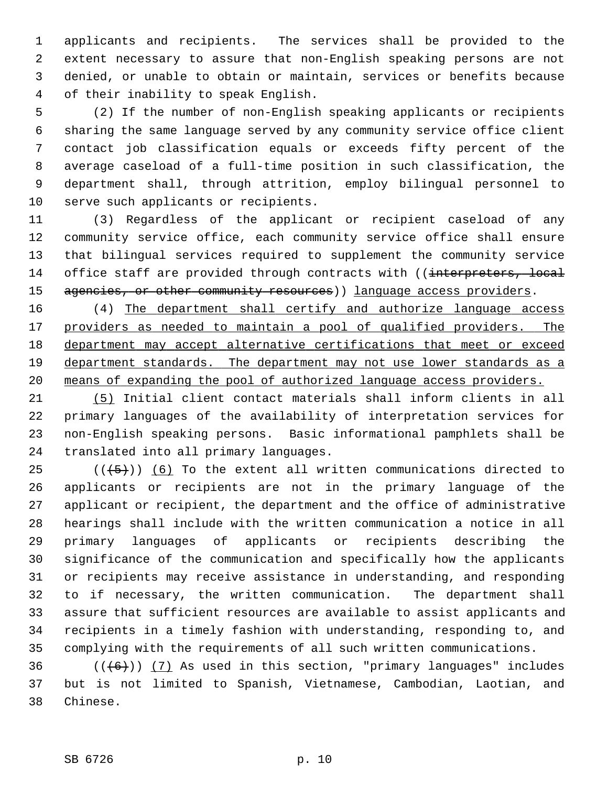1 applicants and recipients. The services shall be provided to the 2 extent necessary to assure that non-English speaking persons are not 3 denied, or unable to obtain or maintain, services or benefits because 4 of their inability to speak English.

 5 (2) If the number of non-English speaking applicants or recipients 6 sharing the same language served by any community service office client 7 contact job classification equals or exceeds fifty percent of the 8 average caseload of a full-time position in such classification, the 9 department shall, through attrition, employ bilingual personnel to 10 serve such applicants or recipients.

11 (3) Regardless of the applicant or recipient caseload of any 12 community service office, each community service office shall ensure 13 that bilingual services required to supplement the community service 14 office staff are provided through contracts with ((interpreters, local 15 agencies, or other community resources)) language access providers.

16 (4) The department shall certify and authorize language access providers as needed to maintain a pool of qualified providers. The department may accept alternative certifications that meet or exceed department standards. The department may not use lower standards as a means of expanding the pool of authorized language access providers.

21 (5) Initial client contact materials shall inform clients in all 22 primary languages of the availability of interpretation services for 23 non-English speaking persons. Basic informational pamphlets shall be 24 translated into all primary languages.

25  $((+5))$  (6) To the extent all written communications directed to 26 applicants or recipients are not in the primary language of the 27 applicant or recipient, the department and the office of administrative 28 hearings shall include with the written communication a notice in all 29 primary languages of applicants or recipients describing the 30 significance of the communication and specifically how the applicants 31 or recipients may receive assistance in understanding, and responding 32 to if necessary, the written communication. The department shall 33 assure that sufficient resources are available to assist applicants and 34 recipients in a timely fashion with understanding, responding to, and 35 complying with the requirements of all such written communications.

36  $((+6))$   $(7)$  As used in this section, "primary languages" includes 37 but is not limited to Spanish, Vietnamese, Cambodian, Laotian, and 38 Chinese.